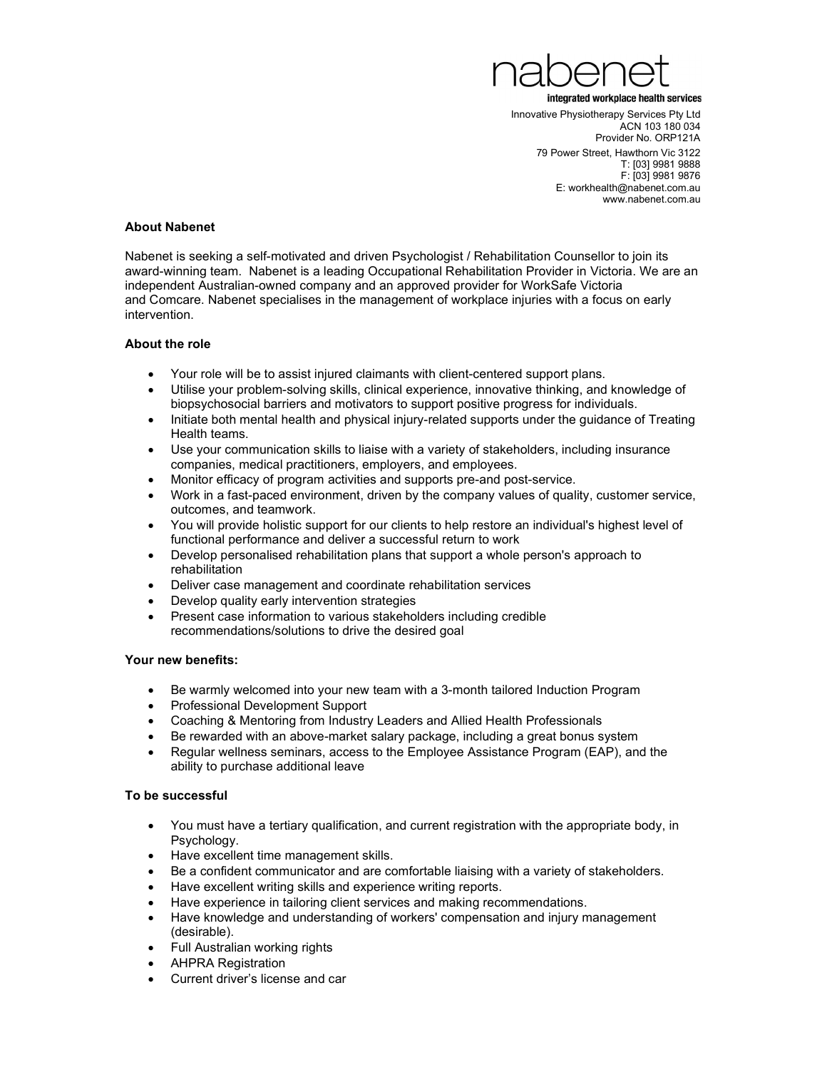

Innovative Physiotherapy Services Pty Ltd ACN 103 180 034 Provider No. ORP121A 79 Power Street, Hawthorn Vic 3122 T: [03] 9981 9888 F: [03] 9981 9876 E: workhealth@nabenet.com.au www.nabenet.com.au

## About Nabenet

Nabenet is seeking a self-motivated and driven Psychologist / Rehabilitation Counsellor to join its award-winning team. Nabenet is a leading Occupational Rehabilitation Provider in Victoria. We are an independent Australian-owned company and an approved provider for WorkSafe Victoria and Comcare. Nabenet specialises in the management of workplace injuries with a focus on early intervention.

### About the role

- Your role will be to assist injured claimants with client-centered support plans.
- Utilise your problem-solving skills, clinical experience, innovative thinking, and knowledge of biopsychosocial barriers and motivators to support positive progress for individuals.
- Initiate both mental health and physical injury-related supports under the quidance of Treating Health teams.
- Use your communication skills to liaise with a variety of stakeholders, including insurance companies, medical practitioners, employers, and employees.
- Monitor efficacy of program activities and supports pre-and post-service.
- Work in a fast-paced environment, driven by the company values of quality, customer service, outcomes, and teamwork.
- You will provide holistic support for our clients to help restore an individual's highest level of functional performance and deliver a successful return to work
- Develop personalised rehabilitation plans that support a whole person's approach to rehabilitation
- Deliver case management and coordinate rehabilitation services
- Develop quality early intervention strategies
- Present case information to various stakeholders including credible recommendations/solutions to drive the desired goal

### Your new benefits:

- Be warmly welcomed into your new team with a 3-month tailored Induction Program
- Professional Development Support
- Coaching & Mentoring from Industry Leaders and Allied Health Professionals
- Be rewarded with an above-market salary package, including a great bonus system
- Regular wellness seminars, access to the Employee Assistance Program (EAP), and the ability to purchase additional leave

# To be successful

- You must have a tertiary qualification, and current registration with the appropriate body, in Psychology.
- Have excellent time management skills.
- Be a confident communicator and are comfortable liaising with a variety of stakeholders.
- Have excellent writing skills and experience writing reports.
- Have experience in tailoring client services and making recommendations.
- Have knowledge and understanding of workers' compensation and injury management (desirable).
- Full Australian working rights
- AHPRA Registration
- Current driver's license and car